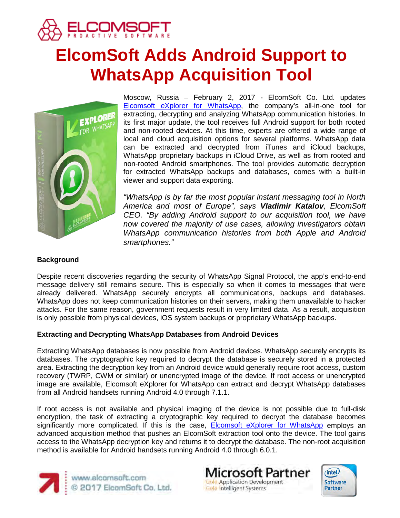

# **ElcomSoft Adds Android Support to WhatsApp Acquisition Tool**



Moscow, Russia – February 2, 2017 - ElcomSoft Co. Ltd. updates [Elcomsoft eXplorer for WhatsApp,](https://www.elcomsoft.com/exwa.html) the company's all-in-one tool for extracting, decrypting and analyzing WhatsApp communication histories. In its first major update, the tool receives full Android support for both rooted and non-rooted devices. At this time, experts are offered a wide range of local and cloud acquisition options for several platforms. WhatsApp data can be extracted and decrypted from iTunes and iCloud backups, WhatsApp proprietary backups in iCloud Drive, as well as from rooted and non-rooted Android smartphones. The tool provides automatic decryption for extracted WhatsApp backups and databases, comes with a built-in viewer and support data exporting.

*"WhatsApp is by far the most popular instant messaging tool in North America and most of Europe", says Vladimir Katalov, ElcomSoft CEO. "By adding Android support to our acquisition tool, we have now covered the majority of use cases, allowing investigators obtain WhatsApp communication histories from both Apple and Android smartphones."*

# **Background**

Despite recent discoveries regarding the security of WhatsApp Signal Protocol, the app's end-to-end message delivery still remains secure. This is especially so when it comes to messages that were already delivered. WhatsApp securely encrypts all communications, backups and databases. WhatsApp does not keep communication histories on their servers, making them unavailable to hacker attacks. For the same reason, government requests result in very limited data. As a result, acquisition is only possible from physical devices, iOS system backups or proprietary WhatsApp backups.

# **Extracting and Decrypting WhatsApp Databases from Android Devices**

Extracting WhatsApp databases is now possible from Android devices. WhatsApp securely encrypts its databases. The cryptographic key required to decrypt the database is securely stored in a protected area. Extracting the decryption key from an Android device would generally require root access, custom recovery (TWRP, CWM or similar) or unencrypted image of the device. If root access or unencrypted image are available, Elcomsoft eXplorer for WhatsApp can extract and decrypt WhatsApp databases from all Android handsets running Android 4.0 through 7.1.1.

If root access is not available and physical imaging of the device is not possible due to full-disk encryption, the task of extracting a cryptographic key required to decrypt the database becomes significantly more complicated. If this is the case, **[Elcomsoft eXplorer for WhatsApp](https://www.elcomsoft.com/exwa.html)** employs an advanced acquisition method that pushes an ElcomSoft extraction tool onto the device. The tool gains access to the WhatsApp decryption key and returns it to decrypt the database. The non-root acquisition method is available for Android handsets running Android 4.0 through 6.0.1.



www.elcomsoft.com<br>© 2017 ElcomSoft Co. Ltd.

**Microsoft Partner Gold Application Development Gold Intelligent Systems**